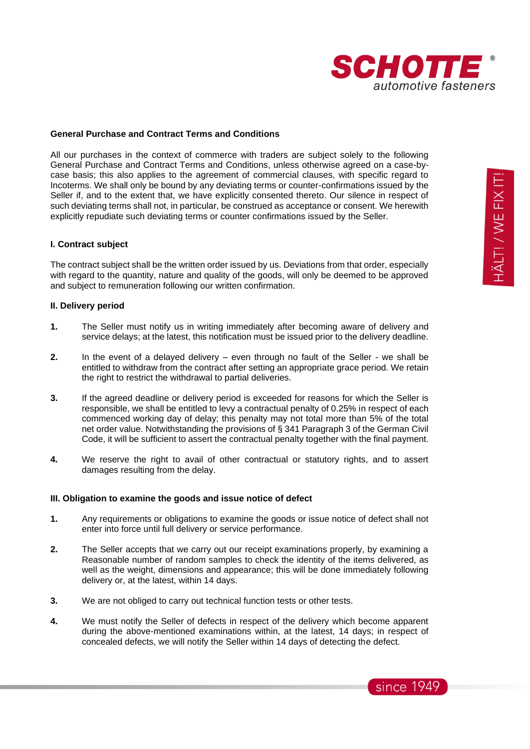

#### **General Purchase and Contract Terms and Conditions**

All our purchases in the context of commerce with traders are subject solely to the following General Purchase and Contract Terms and Conditions, unless otherwise agreed on a case-bycase basis; this also applies to the agreement of commercial clauses, with specific regard to Incoterms. We shall only be bound by any deviating terms or counter-confirmations issued by the Seller if, and to the extent that, we have explicitly consented thereto. Our silence in respect of such deviating terms shall not, in particular, be construed as acceptance or consent. We herewith explicitly repudiate such deviating terms or counter confirmations issued by the Seller.

#### **I. Contract subject**

The contract subject shall be the written order issued by us. Deviations from that order, especially with regard to the quantity, nature and quality of the goods, will only be deemed to be approved and subject to remuneration following our written confirmation.

#### **II. Delivery period**

- **1.** The Seller must notify us in writing immediately after becoming aware of delivery and service delays; at the latest, this notification must be issued prior to the delivery deadline.
- **2.** In the event of a delayed delivery even through no fault of the Seller we shall be entitled to withdraw from the contract after setting an appropriate grace period. We retain the right to restrict the withdrawal to partial deliveries.
- **3.** If the agreed deadline or delivery period is exceeded for reasons for which the Seller is responsible, we shall be entitled to levy a contractual penalty of 0.25% in respect of each commenced working day of delay; this penalty may not total more than 5% of the total net order value. Notwithstanding the provisions of § 341 Paragraph 3 of the German Civil Code, it will be sufficient to assert the contractual penalty together with the final payment.
- **4.** We reserve the right to avail of other contractual or statutory rights, and to assert damages resulting from the delay.

#### **III. Obligation to examine the goods and issue notice of defect**

- **1.** Any requirements or obligations to examine the goods or issue notice of defect shall not enter into force until full delivery or service performance.
- **2.** The Seller accepts that we carry out our receipt examinations properly, by examining a Reasonable number of random samples to check the identity of the items delivered, as well as the weight, dimensions and appearance; this will be done immediately following delivery or, at the latest, within 14 days.
- **3.** We are not obliged to carry out technical function tests or other tests.
- **4.** We must notify the Seller of defects in respect of the delivery which become apparent during the above-mentioned examinations within, at the latest, 14 days; in respect of concealed defects, we will notify the Seller within 14 days of detecting the defect.

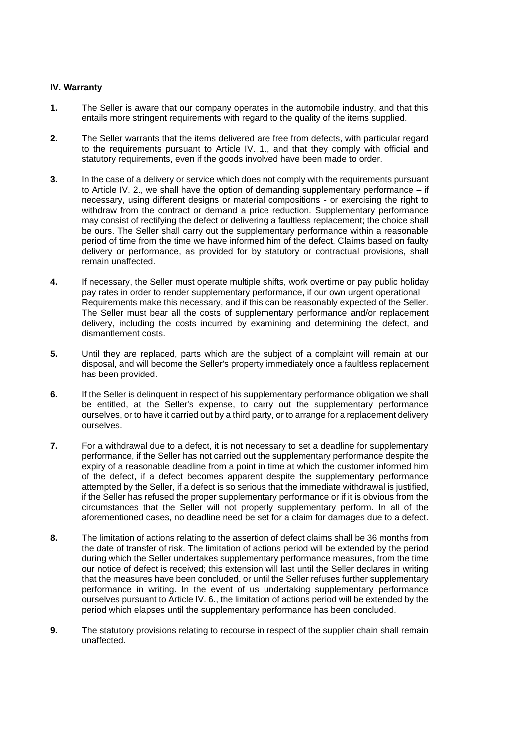## **IV. Warranty**

- **1.** The Seller is aware that our company operates in the automobile industry, and that this entails more stringent requirements with regard to the quality of the items supplied.
- **2.** The Seller warrants that the items delivered are free from defects, with particular regard to the requirements pursuant to Article IV. 1., and that they comply with official and statutory requirements, even if the goods involved have been made to order.
- **3.** In the case of a delivery or service which does not comply with the requirements pursuant to Article IV. 2., we shall have the option of demanding supplementary performance  $-$  if necessary, using different designs or material compositions - or exercising the right to withdraw from the contract or demand a price reduction. Supplementary performance may consist of rectifying the defect or delivering a faultless replacement; the choice shall be ours. The Seller shall carry out the supplementary performance within a reasonable period of time from the time we have informed him of the defect. Claims based on faulty delivery or performance, as provided for by statutory or contractual provisions, shall remain unaffected.
- **4.** If necessary, the Seller must operate multiple shifts, work overtime or pay public holiday pay rates in order to render supplementary performance, if our own urgent operational Requirements make this necessary, and if this can be reasonably expected of the Seller. The Seller must bear all the costs of supplementary performance and/or replacement delivery, including the costs incurred by examining and determining the defect, and dismantlement costs.
- **5.** Until they are replaced, parts which are the subject of a complaint will remain at our disposal, and will become the Seller's property immediately once a faultless replacement has been provided.
- **6.** If the Seller is delinquent in respect of his supplementary performance obligation we shall be entitled, at the Seller's expense, to carry out the supplementary performance ourselves, or to have it carried out by a third party, or to arrange for a replacement delivery ourselves.
- **7.** For a withdrawal due to a defect, it is not necessary to set a deadline for supplementary performance, if the Seller has not carried out the supplementary performance despite the expiry of a reasonable deadline from a point in time at which the customer informed him of the defect, if a defect becomes apparent despite the supplementary performance attempted by the Seller, if a defect is so serious that the immediate withdrawal is justified, if the Seller has refused the proper supplementary performance or if it is obvious from the circumstances that the Seller will not properly supplementary perform. In all of the aforementioned cases, no deadline need be set for a claim for damages due to a defect.
- **8.** The limitation of actions relating to the assertion of defect claims shall be 36 months from the date of transfer of risk. The limitation of actions period will be extended by the period during which the Seller undertakes supplementary performance measures, from the time our notice of defect is received; this extension will last until the Seller declares in writing that the measures have been concluded, or until the Seller refuses further supplementary performance in writing. In the event of us undertaking supplementary performance ourselves pursuant to Article IV. 6., the limitation of actions period will be extended by the period which elapses until the supplementary performance has been concluded.
- **9.** The statutory provisions relating to recourse in respect of the supplier chain shall remain unaffected.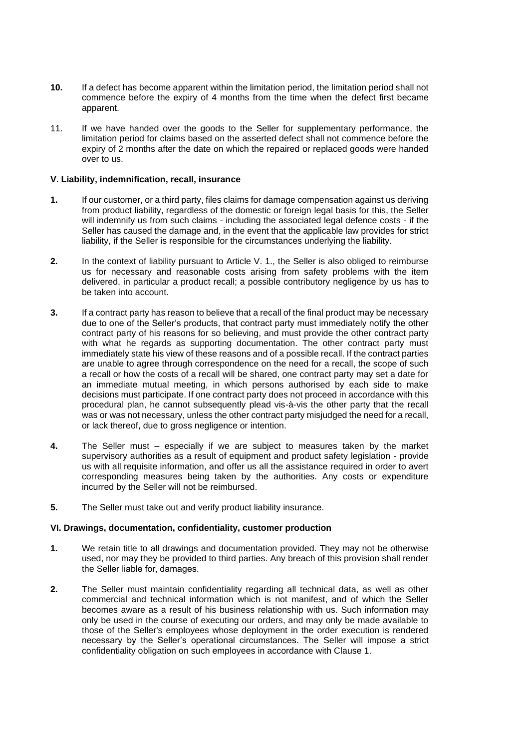- **10.** If a defect has become apparent within the limitation period, the limitation period shall not commence before the expiry of 4 months from the time when the defect first became apparent.
- 11. If we have handed over the goods to the Seller for supplementary performance, the limitation period for claims based on the asserted defect shall not commence before the expiry of 2 months after the date on which the repaired or replaced goods were handed over to us.

#### **V. Liability, indemnification, recall, insurance**

- **1.** If our customer, or a third party, files claims for damage compensation against us deriving from product liability, regardless of the domestic or foreign legal basis for this, the Seller will indemnify us from such claims - including the associated legal defence costs - if the Seller has caused the damage and, in the event that the applicable law provides for strict liability, if the Seller is responsible for the circumstances underlying the liability.
- **2.** In the context of liability pursuant to Article V. 1., the Seller is also obliged to reimburse us for necessary and reasonable costs arising from safety problems with the item delivered, in particular a product recall; a possible contributory negligence by us has to be taken into account.
- **3.** If a contract party has reason to believe that a recall of the final product may be necessary due to one of the Seller's products, that contract party must immediately notify the other contract party of his reasons for so believing, and must provide the other contract party with what he regards as supporting documentation. The other contract party must immediately state his view of these reasons and of a possible recall. If the contract parties are unable to agree through correspondence on the need for a recall, the scope of such a recall or how the costs of a recall will be shared, one contract party may set a date for an immediate mutual meeting, in which persons authorised by each side to make decisions must participate. If one contract party does not proceed in accordance with this procedural plan, he cannot subsequently plead vis-à-vis the other party that the recall was or was not necessary, unless the other contract party misjudged the need for a recall, or lack thereof, due to gross negligence or intention.
- **4.** The Seller must especially if we are subject to measures taken by the market supervisory authorities as a result of equipment and product safety legislation - provide us with all requisite information, and offer us all the assistance required in order to avert corresponding measures being taken by the authorities. Any costs or expenditure incurred by the Seller will not be reimbursed.
- **5.** The Seller must take out and verify product liability insurance.

#### **VI. Drawings, documentation, confidentiality, customer production**

- **1.** We retain title to all drawings and documentation provided. They may not be otherwise used, nor may they be provided to third parties. Any breach of this provision shall render the Seller liable for, damages.
- **2.** The Seller must maintain confidentiality regarding all technical data, as well as other commercial and technical information which is not manifest, and of which the Seller becomes aware as a result of his business relationship with us. Such information may only be used in the course of executing our orders, and may only be made available to those of the Seller's employees whose deployment in the order execution is rendered necessary by the Seller's operational circumstances. The Seller will impose a strict confidentiality obligation on such employees in accordance with Clause 1.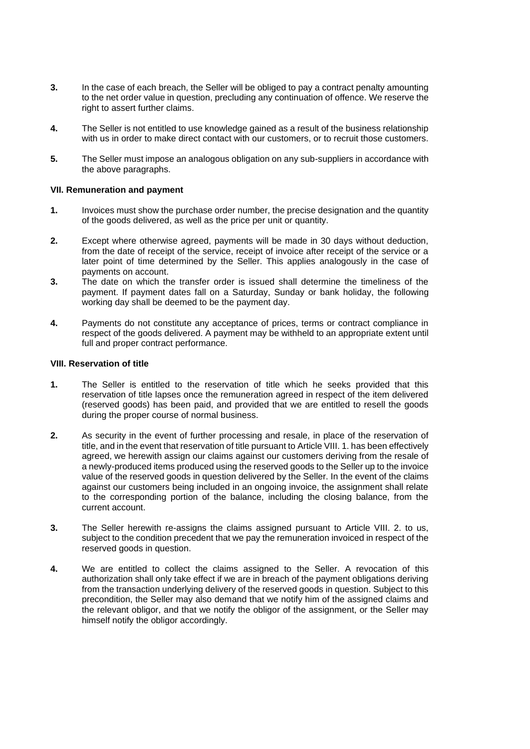- **3.** In the case of each breach, the Seller will be obliged to pay a contract penalty amounting to the net order value in question, precluding any continuation of offence. We reserve the right to assert further claims.
- **4.** The Seller is not entitled to use knowledge gained as a result of the business relationship with us in order to make direct contact with our customers, or to recruit those customers.
- **5.** The Seller must impose an analogous obligation on any sub-suppliers in accordance with the above paragraphs.

#### **VII. Remuneration and payment**

- **1.** Invoices must show the purchase order number, the precise designation and the quantity of the goods delivered, as well as the price per unit or quantity.
- **2.** Except where otherwise agreed, payments will be made in 30 days without deduction, from the date of receipt of the service, receipt of invoice after receipt of the service or a later point of time determined by the Seller. This applies analogously in the case of payments on account.
- **3.** The date on which the transfer order is issued shall determine the timeliness of the payment. If payment dates fall on a Saturday, Sunday or bank holiday, the following working day shall be deemed to be the payment day.
- **4.** Payments do not constitute any acceptance of prices, terms or contract compliance in respect of the goods delivered. A payment may be withheld to an appropriate extent until full and proper contract performance.

## **VIII. Reservation of title**

- **1.** The Seller is entitled to the reservation of title which he seeks provided that this reservation of title lapses once the remuneration agreed in respect of the item delivered (reserved goods) has been paid, and provided that we are entitled to resell the goods during the proper course of normal business.
- **2.** As security in the event of further processing and resale, in place of the reservation of title, and in the event that reservation of title pursuant to Article VIII. 1. has been effectively agreed, we herewith assign our claims against our customers deriving from the resale of a newly-produced items produced using the reserved goods to the Seller up to the invoice value of the reserved goods in question delivered by the Seller. In the event of the claims against our customers being included in an ongoing invoice, the assignment shall relate to the corresponding portion of the balance, including the closing balance, from the current account.
- **3.** The Seller herewith re-assigns the claims assigned pursuant to Article VIII. 2. to us, subject to the condition precedent that we pay the remuneration invoiced in respect of the reserved goods in question.
- **4.** We are entitled to collect the claims assigned to the Seller. A revocation of this authorization shall only take effect if we are in breach of the payment obligations deriving from the transaction underlying delivery of the reserved goods in question. Subject to this precondition, the Seller may also demand that we notify him of the assigned claims and the relevant obligor, and that we notify the obligor of the assignment, or the Seller may himself notify the obligor accordingly.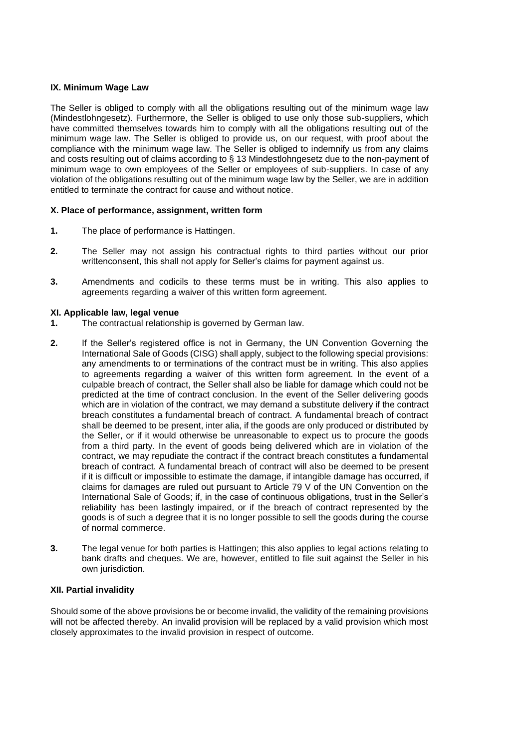## **IX. Minimum Wage Law**

The Seller is obliged to comply with all the obligations resulting out of the minimum wage law (Mindestlohngesetz). Furthermore, the Seller is obliged to use only those sub-suppliers, which have committed themselves towards him to comply with all the obligations resulting out of the minimum wage law. The Seller is obliged to provide us, on our request, with proof about the compliance with the minimum wage law. The Seller is obliged to indemnify us from any claims and costs resulting out of claims according to § 13 Mindestlohngesetz due to the non-payment of minimum wage to own employees of the Seller or employees of sub-suppliers. In case of any violation of the obligations resulting out of the minimum wage law by the Seller, we are in addition entitled to terminate the contract for cause and without notice.

## **X. Place of performance, assignment, written form**

- **1.** The place of performance is Hattingen.
- **2.** The Seller may not assign his contractual rights to third parties without our prior writtenconsent, this shall not apply for Seller's claims for payment against us.
- **3.** Amendments and codicils to these terms must be in writing. This also applies to agreements regarding a waiver of this written form agreement.

## **XI. Applicable law, legal venue**

- **1.** The contractual relationship is governed by German law.
- **2.** If the Seller's registered office is not in Germany, the UN Convention Governing the International Sale of Goods (CISG) shall apply, subject to the following special provisions: any amendments to or terminations of the contract must be in writing. This also applies to agreements regarding a waiver of this written form agreement. In the event of a culpable breach of contract, the Seller shall also be liable for damage which could not be predicted at the time of contract conclusion. In the event of the Seller delivering goods which are in violation of the contract, we may demand a substitute delivery if the contract breach constitutes a fundamental breach of contract. A fundamental breach of contract shall be deemed to be present, inter alia, if the goods are only produced or distributed by the Seller, or if it would otherwise be unreasonable to expect us to procure the goods from a third party. In the event of goods being delivered which are in violation of the contract, we may repudiate the contract if the contract breach constitutes a fundamental breach of contract. A fundamental breach of contract will also be deemed to be present if it is difficult or impossible to estimate the damage, if intangible damage has occurred, if claims for damages are ruled out pursuant to Article 79 V of the UN Convention on the International Sale of Goods; if, in the case of continuous obligations, trust in the Seller's reliability has been lastingly impaired, or if the breach of contract represented by the goods is of such a degree that it is no longer possible to sell the goods during the course of normal commerce.
- **3.** The legal venue for both parties is Hattingen; this also applies to legal actions relating to bank drafts and cheques. We are, however, entitled to file suit against the Seller in his own jurisdiction.

## **XII. Partial invalidity**

Should some of the above provisions be or become invalid, the validity of the remaining provisions will not be affected thereby. An invalid provision will be replaced by a valid provision which most closely approximates to the invalid provision in respect of outcome.